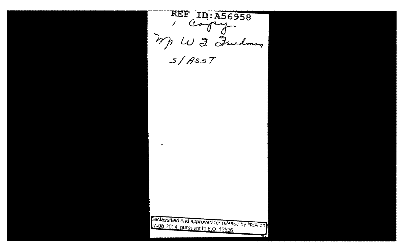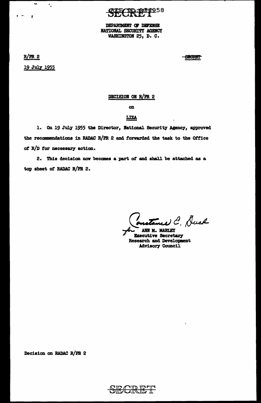DEPARTMENT OF DEFENSE NATIONAL SECURITY AGENCY WASHINGTON 25, D. C.

 $R/PR$  2

 $\mathbf{r}_{\mathrm{c}}$ 

 $\mathbf{z}$ 

 $\bullet$   $\bullet$ 

 $\overline{\phantom{a}}$  .

19 July 1955

**SHORET** 

# DECISION ON R/PR 2

 $\alpha$ 

# LIZA

1. On 19 July 1955 the Director, National Security Agency, approved the recommendations in RADAC R/PR 2 and forwarded the task to the Office of R/D for necessary action.

2. This decision now becomes a part of and shall be attached as a top sheet of RADAC R/PR 2.

naturned C. Duck

ANN M. MARLEY **Executive Secretary Research and Development Advisory Council** 

Decision on RADAC R/PR 2

 $\mathbf{\mathbf{\pm}}$ <del>SIKCIRIKI</del>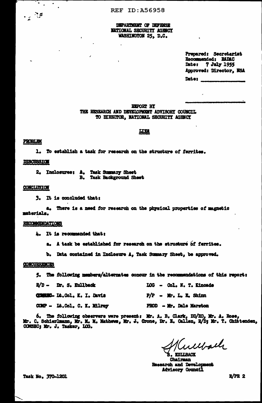## DEPARTMENT OF DEFENSE **NATIONAL SECURITY AGENCY** WASHINGTON 25, D.C.

Prepared: Secretariat Recommended: RADAC Date: 7 July 1955 Approved: Director, NSA Date:

**EXPORT BY** THE RESEARCH AND DEVELOPMENT ADVISORY COUNCIL TO DIRECTOR, NATIONAL SECURITY AGENCY

### <u>Ц21</u>

### **PROBLEM**

 $\bullet$ 

 $\mathcal{L}^{\mathcal{M}}$ 

1. To establish a task for research on the structure of ferrites.

## **DISCUSSION**

2. Inclosures: A. Task Summary Sheet<br>B. Task Background Sheet

#### CONCLUSION

3. It is concluded that:

There is a need for research on the physical properties of magnetic 8. materials.

#### **RECOMMENDATIONS**

4. It is recommended that:

a. A task be established for research on the structure of ferrites.

b. Data contained in Inclesure A, Task Summary Sheet, be approved.

## **CONCURRENCES**

5. The following members/alternates concur in the recommendations of this report:

| <b>R/D - Dr. S. Kullback</b>       |  |                          | LOG - Col. N. T. Kincade |
|------------------------------------|--|--------------------------|--------------------------|
| <b>COMMEC- It.Col. K. I. Davis</b> |  | $P/P = Mr$ , L. E. Shinn |                          |
| COMP - Lt.Col. C. K. Milrey        |  |                          | PROD - Mr. Dale Marston  |

6. The following observers were present: Mr. A. B. Clark, DD/RD, Mr. A. Rose, Mr. C. Schierlmann, Mr. M. Mathews, Mr. J. Crone, Dr. E. Callen, R/D; Mr. T. Chittenden, COMSEC; Mr. J. Tasker, LOG.

werkach

KULLBACK Chairman Research and Development **Advisory Council** 

Task No. 370-1201

 $R/PR$  2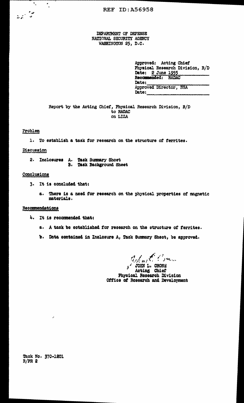DEPARTMENT OF DEFENSE NATIONAL SECURITY AGENCY WASHINGTON 25, D.C.

| Approved: Acting Chief |  |                                 |  |
|------------------------|--|---------------------------------|--|
|                        |  | Physical Research Division, R/D |  |
| Date: 2 June 1955      |  |                                 |  |
| Recommended: RADAC     |  |                                 |  |
| Date:                  |  |                                 |  |
| Approved Director, NSA |  |                                 |  |
| Date:                  |  |                                 |  |

Report by the Acting Chief, Physical Research Division, R/D to RADAC on LIZA

# Problem

 $\overline{\phantom{a}}_n$ 

 $\mathcal{L}_{\mathcal{L}}$ 

1. To establish a task for research on the structure of ferrites.

## Discussion

2. Inclosures A. Task Summary Shoet<br>B. Task Background Sheet

## Conclusions

- 3. It is concluded that:
	- a. There is a need for research on the physical properties of magnetic materials.

## Recommendations

- 4. It is recommended that:
	- a. A task be established for research on the structure of forrites.
	- b. Data contained in Inclosure A, Tack Summary Sheet, be approved.

 $\sum_{j=1}^{n}$  only  $\sum_{j=1}^{n}$  or  $\sum_{j=1}^{n}$ Acting Chief Physical Research Division Office of Research and Development

Task No. 370-1201  $R/PR$  2

ş.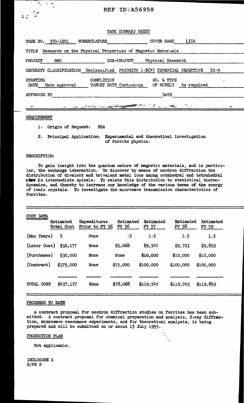# **REF ID: A56958**

|  | TASK SUNNARI | SHEET |
|--|--------------|-------|
|--|--------------|-------|

| TASK NO. 370-1201     | NOMENCLATURE                                                                                                  | COVER NAME        | LIZA               |      |
|-----------------------|---------------------------------------------------------------------------------------------------------------|-------------------|--------------------|------|
| TITLE                 | Research on the Physical Properties of Magnetic Materials                                                     |                   |                    |      |
| PROJECT<br><b>RHO</b> | <b>SUB-PROJECT</b>                                                                                            | Physical Research |                    |      |
|                       | SECURITY CLASSIFICATION Unclessified PRIORITY 1-B(N) TECHNICAL OBJECTIVE                                      |                   |                    | I0-9 |
| STARTING              | COMPLETION                                                                                                    | NO. & TYPE        |                    |      |
| DATE<br>Upon approval | TARGET DATE Continuing                                                                                        | OF MODELS         | <b>As required</b> |      |
| APPROVED BY           |                                                                                                               | <b>DATE</b>       |                    |      |
| $\sim$                | The same residents of the same of the same of the same of the same of the same of the same of the same of the | ే బాబాతై          |                    |      |
|                       |                                                                                                               |                   |                    |      |

#### REQUIREMENT

 $\overline{a}$ 

Origin of Request: **NSA**  $\mathbf{1}$ .

2. Principal Application: Experimental and theoretical investigation of ferrite physics.

### DESCRIPTION:

To gain insight into the quantum nature of magnetic materials, and in particular, the exchange interaction. To discover by means of neutron diffraction the distribution of divalent and trivalent metal ions among octahedral and tetrahedral sing in intermediate spinels. To relate this distribution to statistical thermodynamics, and thereby to increase our knowledge of the various terms of the energy of ionic crystals. To investigate the microwave transmission characteristics of ferrites.

| COST DATA    | Estimated<br><b>Total Cost</b> | Expenditures<br>Prior to FY 56 | Estimated<br>FY 56 | Estimated<br>FY 57 | Estimated<br>FY 58 | Estimated<br>FY 59 |
|--------------|--------------------------------|--------------------------------|--------------------|--------------------|--------------------|--------------------|
| (Man Years)  | 5                              | None                           | $\cdot$ 5          | 1.5                | 1.5                | 1.5                |
| (Labor Cost) | \$32,177                       | None                           | \$3,068            | \$9,547            | \$9,703            | \$9,859            |
| (Purchases)  | \$30,000                       | None                           | None               | \$10,000           | \$10,000           | \$10,000           |
| (Contract)   | \$375,000                      | None                           | \$75,000           | \$100,000          | \$100,000          | \$100,000          |
| TOTAL COST   | \$437,177                      | None                           | \$78,068           | \$119,547          | \$119,703          | \$119,859          |

### PROGRESS TO DATE

A contract proposal for neutron diffraction studies on ferrites has been submitted. A contract proposal for chemical preparation and analysis, X-ray diffraction, microwave resonance experiments, and for theoretical analysis, is being prepared and will be submitted on or about 15 July 1955.

#### PRODUCTION PLAN

Not applicable.

INCLOSURE A  $R/PR$  2